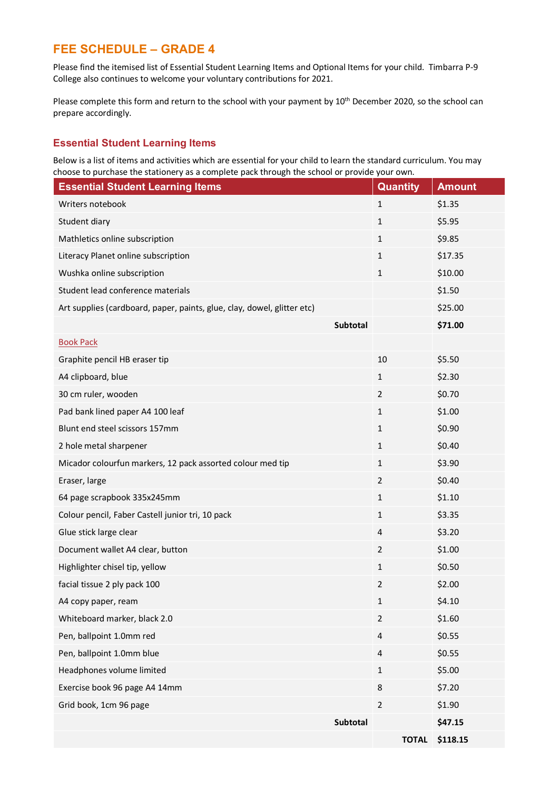# **FEE SCHEDULE – GRADE 4**

Please find the itemised list of Essential Student Learning Items and Optional Items for your child. Timbarra P-9 College also continues to welcome your voluntary contributions for 2021.

Please complete this form and return to the school with your payment by 10<sup>th</sup> December 2020, so the school can prepare accordingly.

### **Essential Student Learning Items**

Below is a list of items and activities which are essential for your child to learn the standard curriculum. You may choose to purchase the stationery as a complete pack through the school or provide your own.

| <b>Essential Student Learning Items</b>                                 | <b>Quantity</b>         | <b>Amount</b> |
|-------------------------------------------------------------------------|-------------------------|---------------|
| Writers notebook                                                        | $\mathbf{1}$            | \$1.35        |
| Student diary                                                           | $\mathbf{1}$            | \$5.95        |
| Mathletics online subscription                                          | 1                       | \$9.85        |
| Literacy Planet online subscription                                     | $\mathbf{1}$            | \$17.35       |
| Wushka online subscription                                              | $\mathbf{1}$            | \$10.00       |
| Student lead conference materials                                       |                         | \$1.50        |
| Art supplies (cardboard, paper, paints, glue, clay, dowel, glitter etc) |                         | \$25.00       |
| Subtotal                                                                |                         | \$71.00       |
| <b>Book Pack</b>                                                        |                         |               |
| Graphite pencil HB eraser tip                                           | 10                      | \$5.50        |
| A4 clipboard, blue                                                      | $\mathbf{1}$            | \$2.30        |
| 30 cm ruler, wooden                                                     | $\mathbf 2$             | \$0.70        |
| Pad bank lined paper A4 100 leaf                                        | $\mathbf{1}$            | \$1.00        |
| Blunt end steel scissors 157mm                                          | $\mathbf{1}$            | \$0.90        |
| 2 hole metal sharpener                                                  | $\mathbf{1}$            | \$0.40        |
| Micador colourfun markers, 12 pack assorted colour med tip              | $\mathbf{1}$            | \$3.90        |
| Eraser, large                                                           | $\overline{2}$          | \$0.40        |
| 64 page scrapbook 335x245mm                                             | $\mathbf{1}$            | \$1.10        |
| Colour pencil, Faber Castell junior tri, 10 pack                        | $\mathbf{1}$            | \$3.35        |
| Glue stick large clear                                                  | 4                       | \$3.20        |
| Document wallet A4 clear, button                                        | $\overline{2}$          | \$1.00        |
| Highlighter chisel tip, yellow                                          | $\mathbf{1}$            | \$0.50        |
| facial tissue 2 ply pack 100                                            | $\overline{2}$          | \$2.00        |
| A4 copy paper, ream                                                     | 1                       | \$4.10        |
| Whiteboard marker, black 2.0                                            | $\mathbf 2$             | \$1.60        |
| Pen, ballpoint 1.0mm red                                                | $\overline{\mathbf{4}}$ | \$0.55        |
| Pen, ballpoint 1.0mm blue                                               | $\overline{\mathbf{4}}$ | \$0.55        |
| Headphones volume limited                                               | $\mathbf{1}$            | \$5.00        |
| Exercise book 96 page A4 14mm                                           | 8                       | \$7.20        |
| Grid book, 1cm 96 page                                                  | $\mathbf 2$             | \$1.90        |
| Subtotal                                                                |                         | \$47.15       |
|                                                                         | <b>TOTAL</b>            | \$118.15      |